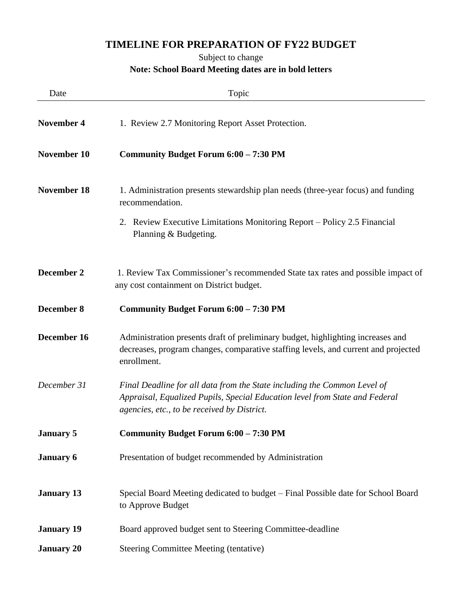## **TIMELINE FOR PREPARATION OF FY22 BUDGET**

## Subject to change

## **Note: School Board Meeting dates are in bold letters**

| Date               | Topic                                                                                                                                                                                                  |
|--------------------|--------------------------------------------------------------------------------------------------------------------------------------------------------------------------------------------------------|
| <b>November 4</b>  | 1. Review 2.7 Monitoring Report Asset Protection.                                                                                                                                                      |
| November 10        | Community Budget Forum 6:00 - 7:30 PM                                                                                                                                                                  |
| <b>November 18</b> | 1. Administration presents stewardship plan needs (three-year focus) and funding<br>recommendation.                                                                                                    |
|                    | 2. Review Executive Limitations Monitoring Report - Policy 2.5 Financial<br>Planning & Budgeting.                                                                                                      |
| December 2         | 1. Review Tax Commissioner's recommended State tax rates and possible impact of<br>any cost containment on District budget.                                                                            |
| <b>December 8</b>  | Community Budget Forum 6:00 - 7:30 PM                                                                                                                                                                  |
| December 16        | Administration presents draft of preliminary budget, highlighting increases and<br>decreases, program changes, comparative staffing levels, and current and projected<br>enrollment.                   |
| December 31        | Final Deadline for all data from the State including the Common Level of<br>Appraisal, Equalized Pupils, Special Education level from State and Federal<br>agencies, etc., to be received by District. |
| <b>January 5</b>   | Community Budget Forum 6:00 - 7:30 PM                                                                                                                                                                  |
| <b>January 6</b>   | Presentation of budget recommended by Administration                                                                                                                                                   |
| <b>January 13</b>  | Special Board Meeting dedicated to budget – Final Possible date for School Board<br>to Approve Budget                                                                                                  |
| <b>January 19</b>  | Board approved budget sent to Steering Committee-deadline                                                                                                                                              |
| <b>January 20</b>  | <b>Steering Committee Meeting (tentative)</b>                                                                                                                                                          |